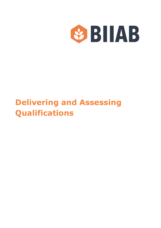

# **Delivering and Assessing Qualifications**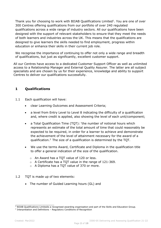Thank you for choosing to work with BIIAB Qualifications Limited<sup>1</sup>. You are one of over 300 Centres offering qualifications from our portfolio of over 240 regulated qualifications across a wide range of industry sectors. All our qualifications have been designed with the support of relevant stakeholders to ensure that they meet the needs of both learners and industries across the UK. This means that the qualifications are designed to give learners the skills needed to find employment, progress within education or enhance their skills in their current job role.

We recognise the importance of continuing to offer not only a wide range and breadth of qualifications, but just as significantly, excellent customer support.

All our Centres have access to a dedicated Customer Support Officer as well as unlimited access to a Relationship Manager and External Quality Assurer. The latter are all subject specialists and are chosen by us for their experience, knowledge and ability to support Centres to deliver our qualifications successfully.

# **1 Qualifications**

- 1.1 Each qualification will have:
	- clear Learning Outcomes and Assessment Criteria;
	- a level from Entry Level to Level 8 indicating the difficulty of a qualification and, where credit is applied, also showing the level of each unit/component;
	- a Total Qualification Time (TQT): 'the number of notional hours which represents an estimate of the total amount of time that could reasonably be expected to be required, in order for a learner to achieve and demonstrate the achievement of the level of attainment necessary for the award of a qualification.2 The size of a qualification is determined by the TQT.
	- We use the terms Award, Certificate and Diploma in the qualification title to offer a general indication of the size of the qualification.
		- o An Award has a TQT value of 120 or less.
		- o A Certificate has a TQT value in the range of 121-369.
		- o A Diploma has a TQT value of 370 or more.
- 1.2 TQT is made up of two elements:
	- The number of Guided Learning hours (GL) and

 $1$  BIIAB Qualifications Limitedis a recognised awarding organisation and part of the Skills and Education Group.

<sup>2</sup> Interpretation and Definitions – Regulatory Conditions of Recognition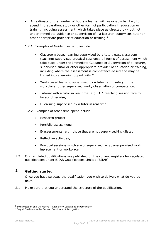- 'An estimate of the number of hours a learner will reasonably be likely to spend in preparation, study or other form of participation in education or training, including assessment, which takes place as directed by - but not under immediate guidance or supervision of - a lecturer, supervisor, tutor or other appropriate provider of education or training.<sup>3</sup>
- 1.2.1 Examples of Guided Learning include:
	- Classroom based learning supervised by a tutor: e.g., classroom teaching; supervised practical sessions; 'all forms of assessment which take place under the Immediate Guidance or Supervision of a lecturer, supervisor, tutor or other appropriate provider of education or training, including where the assessment is competence-based and may be turned into a learning opportunity.'4
	- Work-based learning supervised by a tutor: e.g., safety in the workplace; other supervised work; observation of competence;
	- Tutorial with a tutor in real time: e.g., 1:1 teaching session face to faceor otherwise;
	- E-learning supervised by a tutor in real time.
- 1.2.2 Examples of other time spent include:
	- Research project:
	- Portfolio assessment;
	- E-assessments: e.g., those that are not supervised/invigilated;
	- Reflective activities:
	- Practical sessions which are unsupervised: e.g., unsupervised work inplacement or workplace.
- 1.3 Our regulated qualifications are published on the current registers for regulated qualifications under BIIAB Qualifications Limited (BIIAB).

# **2 Getting started**

Once you have selected the qualification you wish to deliver, what do you do next?

2.1 Make sure that you understand the structure of the qualification.

 $3$  Interpretation and Definitions – Regulatory Conditions of Recognition

<sup>4</sup> Ofqual Guidance to the General Conditions of Recognition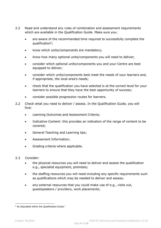- 2.2 Read and understand any rules of combination and assessment requirements which are available in the Qualification Guide. Make sure you:
	- are aware of the recommended time required to successfully complete the qualification5;
	- know which units/components are mandatory;
	- know how many optional units/components you will need to deliver;
	- consider which optional units/components you and your Centre are best equipped to deliver;
	- consider which units/components best meet the needs of your learners and, if appropriate, the local area's needs;
	- check that the qualification you have selected is at the correct level for your learners to ensure that they have the best opportunity of success;
	- consider possible progression routes for learners.
- 2.2 Check what you need to deliver / assess. In the Qualification Guide, you will find:
	- Learning Outcomes and Assessment Criteria;
	- Indicative Content: this provides an indication of the range of content to be covered;
	- General Teaching and Learning tips;
	- Assessment Information;
	- Grading criteria where applicable.
- 2.3 Consider:
	- the physical resources you will need to deliver and assess the qualification e.g., specialist equipment, premises;
	- the staffing resources you will need including any specific requirements such as qualifications which may be needed to deliver and assess;
	- any external resources that you could make use of e.g., visits out, guestspeakers / providers, work placements;

<sup>5</sup> As stipulated within the Qualification Guide.'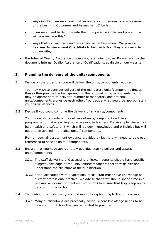- ways in which learners could gather evidence to demonstrate achievement of the Learning Outcomes and Assessment Criteria;
- if learners need to demonstrate their competence in the workplace, how will you manage this?
- ways that you will track and record learner achievement. We provide **Learner Achievement Checklists** to help with this. They are available on our website;
- the Internal Quality Assurance process you are going to use. Please refer to the document Internal Quality Assurance of Qualifications, available on our website.

## **3 Planning the delivery of the units/components**

3.1 Decide on the order that you will deliver the units/components required.

You may wish to consider delivery of the mandatory units/components first as these often provide the background for the optional units/components, but it may be appropriate to deliver a number of mandatory and optional units/components alongside each other. You decide what would be appropriate in your circumstances.

3.2 Decide if you could combine the delivery of any units/components

You may wish to combine the delivery of units/components within your programme to make learning more relevant to learners. For example, there may be a health and safety unit which will lay down knowledge and principles but will need to be applied in practical units / components.

**Remember**, all assessment evidence provided by learners will need to be cross referenced to specific units / components.

- 3.3 Ensure that you have appropriately qualified staff to deliver and assess units/components
	- 3.3.1 The staff delivering and assessing units/components should have specific subject knowledge of the unit/units/components that they deliver and understand the structure of the qualification.
	- 3.3.2 For qualifications with a vocational focus, staff must have knowledge of current professional practice. We advise that staff should spend time in a relevant work environment as part of CPD to ensure that they keep up to date within the sector.
- 3.4 Think about methods that you could use to bring learning to life for learners
	- 3.4.1 Many qualifications are practically based. Where knowledge needs to be delivered, think how this can be related to practice.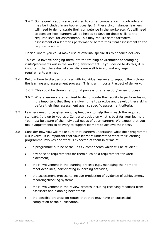- 3.4.2 Some qualifications are designed to confer competence in a job role and may be included in an Apprenticeship. In these circumstances,learners will need to demonstrate their competence in the workplace. You will need to consider how learners will be helped to develop these skills to the required level for assessment. This may require some formative assessment of a learner's performance before their final assessment to the required standard.
- 3.5 Decide where you could make use of external specialists to enhance delivery.

This could involve bringing them into the training environment or arranging visits/placements out in the working environment. If you decide to do this, it is important that the external specialists are well briefed, and any legal requirements are met.

- 3.6 Build in time to discuss progress with individual learners to support them through the learning and assessment process. This is an important aspect of delivery.
	- 3.6.1 This could be through a tutorial process or a reflection/review process.
	- 3.6.2 Where learners are required to demonstrate their ability to perform tasks, it is important that they are given time to practice and develop these skills before their final assessment against specific assessment criteria.
- 3.7 Learners need to be given ongoing feedback to help them reach the required standard. It is up to you as a Centre to decide on what is best for your learners. You must be aware of the individual needs of your learners. We expect that you make adjustments to delivery to support learners to achieve their best.
- 3.8 Consider how you will make sure that learners understand what their programme will involve. It is important that your learners understand what their learning programme involves and what is expected of them in terms of:
	- a programme outline of the units / components which will be studied;
	- any specific requirements for them such as a requirement for work placement;
	- their involvement in the learning process e.g., managing their time to meet deadlines, participating in learning activities;
	- the assessment process to include production of evidence of achievement, recording/tracking systems;
	- their involvement in the review process including receiving feedback from assessors and planning next steps;
	- the possible progression routes that they may have on successful completion of the qualification.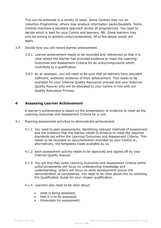This can be achieved in a variety of ways. Some Centres may run an Induction Programme, others may produce information packs/booklets. Some Centres mayhave a standard approach across all programmes. You need to decide which is best for your Centre and learners. NB. Some learners may only be aiming to achieve units/components. All of the above would still apply.

- 3.9 Decide how you will record learner achievement.
	- 3.9.1 Learner achievement needs to be recorded and referenced so that it is clear where the learner has provided evidence to meet the Learning Outcomes and Assessment Criteria for all units/components which contribute to a qualification.
	- 3.9.2 As an assessor, you will need to be sure that all learners have provided sufficient, authentic evidence of their achievement. This needs to be available for your Internal Quality Assurance process and your External Quality Assurer who will be allocated to your Centre in line with our Quality Assurance Process.

## **4 Assessing Learner Achievement**

A learner's achievement is based on the presentation of evidence to meet all the Learning Outcomes and Assessment Criteria for a unit.

- 4.1 Planning assessment activities to demonstrate achievement
	- 4.1.1 You need to plan assessments, identifying relevant methods of assessment and the evidence that the learner needs to produce to meet the required standards set within the Learning Outcomes and Assessment Criteria. This needs to be recorded on documentation provided by your Centre or, alternatively, the templates made available by us.
	- 4.1.2 Each assessment activity needs to be approved and signed off by your Internal Quality Assurer.
	- 4.1.3 You will find that some Learning Outcomes and Assessment Criteria within units/components will focus on underpinning knowledge and understanding; others will focus on skills development and/or the demonstration of competence. You need to be clear about this by checking the Qualification Guide for your chosen qualification.
	- 4.1.4 Learners also need to be clear about:
		- what is being assessed;
		- how it is to be assessed;
		- timescales for assessment.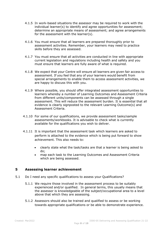- 4.1.5 In work-based situations the assessor may be required to work with the individual learner(s) to identify and agree opportunities for assessment; determine an appropriate means of assessment; and agree arrangements for the assessment with the learner(s).
- 4.1.6 You must ensure that all learners are prepared thoroughly prior to assessment activities. Remember, your learners may need to practice skills before they are assessed.
- 4.1.7 You must ensure that all activities are conducted in line with appropriate current legislation and regulations including health and safety and you must ensure that learners are fully aware of what is required.
- 4.1.8 We expect that your Centre will ensure all learners are given fair access to assessment. If you feel that any of your learners would benefit from special arrangements to enable them to access assessment activities, we are happy to discuss this with you.
- 4.1.9 Where possible, you should offer integrated assessment opportunities to learners whereby a number of Learning Outcomes and Assessment Criteria from different units/components can be assessed through a single assessment. This will reduce the assessment burden. It is essential that all evidence is clearly signposted to the relevant Learning Outcome(s) and Assessment Criteria.
- 4.1.10 For some of our qualifications, we provide assessment tasks/sample assessments/workbooks. It is advisable to check what is currently available for the qualifications you wish to deliver.
- 4.1.11 It is important that the assessment task which learners are asked to perform is attached to the evidence which is being put forward to show achievement. This also needs to:
	- clearly state what the task/tasks are that a learner is being asked to do;
	- map each task to the Learning Outcomes and Assessment Criteria which are being assessed.

## **5 Assessing learner achievement**

- 5.1 Do I need any specific qualifications to assess your Qualifications?
	- 5.1.1 We require those involved in the assessment process to be suitably experienced and/or qualified. In general terms, this usually means that the assessor is knowledgeable of the subject/occupational area to a level above that which they are assessing.
	- 5.1.2 Assessors should also be trained and qualified to assess or be working towards appropriate qualifications or be able to demonstrate experience.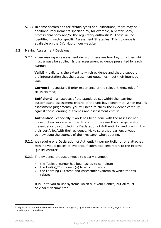- 5.1.3 In some sectors and for certain types of qualifications, there may be additional requirements specified by, for example, a Sector Body, professional body and/or the regulatory authorities<sup>6</sup>. These will be identified in sector specific Assessment Strategies. This guidance is available on the Info Hub on our website.
- 5.2 Making Assessment Decisions
	- 5.2.1 When making an assessment decision there are four key principles which must always be applied. Is the assessment evidence presented by each learner:

**Valid?** – validity is the extent to which evidence and theory support the interpretation that the assessment outcomes meet their intended uses;

**Current?** - especially if prior experience of the relevant knowledge / skillis claimed;

**Sufficient?** - all aspects of the standards set within the learning outcomesand assessment criteria of the unit have been met. When making assessment judgements, you will need to check the evidence carefully against these learning outcomes and assessment criteria.

**Authentic?** - especially if work has been done with the assessor not present. Learners are required to confirm they are the sole generator of the evidence by completing a Declaration of Authenticity<sup>7</sup> and placing it in their portfolios/with their evidence. Make sure that learners always acknowledge the sources of their research when quoting.

- 5.2.2 We require one Declaration of Authenticity per portfolio, or one attached with individual pieces of evidence if submitted separately to the External Quality Assurer.
- 5.2.3 The evidence produced needs to clearly signpost:
	- the Tasks a learner has been asked to complete;
	- the Unit(s)/Component(s) to which it refers;
	- the Learning Outcome and Assessment Criteria to which the task relates.

It is up to you to use systems which suit your Centre, but all must be clearly documented.

<sup>6</sup> Ofqual for vocational qualifications delivered in England; Qualification Wales; CCEA in NI; SQA in Scotland

<sup>7</sup> Available on the website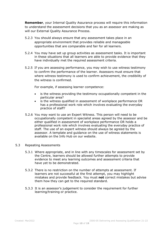**Remember**, your Internal Quality Assurance process will require this information to understand the assessment decisions that you as an assessor are making as will our External Quality Assurance Process.

- 5.2.3 You should always ensure that any assessment takes place in an appropriate environment that provides reliable and manageable opportunities that are comparable and fair for all learners.
- 5.2.4 You may have set up group activities as assessment tasks. It is important in these situations that all learners are able to provide evidence that they have individually met the required assessment criteria.
- 5.2.5 If you are assessing performance, you may wish to use witness testimony to confirm the performance of the learner. Assessors must ensure that where witness testimony is used to confirm achievement, the credibility of the witness is confirmed.

For example, if assessing learner competence:

- is the witness providing the testimony occupationally competent in the particular area?
- is the witness qualified in assessment of workplace performance OR has a professional work role which involves evaluating the everyday practice of staff?
- 5.2.6 You may want to use an Expert Witness. This person will need to be occupationally competent in specialist areas agreed by the assessor and be either qualified in assessment of workplace performance OR holds a professional work role which involves evaluating the everyday practice of staff. The use of an expert witness should always be agreed by the assessor. A template and guidance on the use of witness statements is available on the Info Hub on our website.
- 5.3 Repeating Assessments
	- 5.3.1 Where appropriate, and in line with any timescales for assessment set by the Centre, learners should be allowed further attempts to provide evidence to meet any learning outcomes and assessment criteria that have yet to be demonstrated.
	- 5.3.2 There is no restriction on the number of attempts at assessment. If learners are not successful at the first attempt, you may highlight mistakes and provide feedback. You must **not** correct mistakes but advise them how they can get to the required standard.
	- 5.3.3 It is an assessor's judgement to consider the requirement for further learning/training or practice.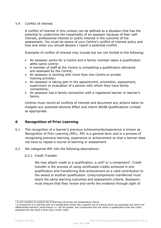#### 5.4 Conflict of interest

A conflict of interest in this context can be defined as a situation that has the potential to undermine the impartiality of an assessor because of their selfinterest, professional interest or public interest in the outcome of the assessment. You must be aware of your Centre's conflict of interest policy and how and when you should declare / report a potential conflict.

Examples of conflict of interest may include but are not limited to the following:

- An assessor works for a Centre and a family member takes a qualification atthe same Centre;
- A member of staff at the Centre is completing a qualification delivered and assessed by the Centre;
- An assessor is working with more than one Centre or private training provider;
- An assessor is taking part in the appointment, promotion, assessment, supervision or evaluation of a person with whom they have family connections;
- An assessor has a family connection with a registered learner or learner's family.

Centres must record all conflicts of interest and document any actions taken to mitigate any potential Adverse Effect and inform BIIAB Qualifications Limited as appropriate.

## **6 Recognition of Prior Learning**

- 6.1 The recognition of a learner's previous achievements/experience is known as Recognition of Prior Learning (RPL). RPL is a general term and is a process of recognising previous learning, experience or achievement so that a learner does not have to repeat a course of learning or assessment.
- 6.2 We categorise RPL into the following descriptions:
	- 6.2.1 Credit Transfer

We may attach credit to a qualification, a unit<sup>8</sup> or a component<sup>9</sup>. Credit transfer is the process of using certificated credits achieved in one qualification and transferring that achievement as a valid contribution to the award of another qualification. Units/components transferred must share the same learning outcomes and assessment criteria. Assessors must ensure that they review and verify the evidence through sight of:

 $8$  A unit contains an explicit set of learning outcomes and assessment criteria.

<sup>9</sup> A component is a discrete part of a qualification which has a specific set of criteria which are assessed and which will differentiate learners' performance i.e. will be graded. Any component that sits within a qualification that has credit assigned will also have a level and a credit value.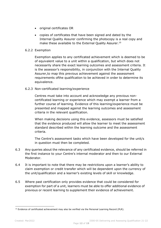- original certificates OR
- copies of certificates that have been signed and dated by the Internal Quality Assurer confirming the photocopy is a real copy and make these available to the External Quality Assurer.<sup>10</sup>

### 6.2.2 Exemption

Exemption applies to any certificated achievement which is deemed to be of equivalent value to a unit within a qualification, but which does not necessarily share the exact learning outcomes and assessment criteria. It is the assessor's responsibility, in conjunction with the Internal Quality Assurer,to map this previous achievement against the assessment requirements ofthe qualification to be achieved in order to determine its equivalence.

## 6.2.3 Non-certificated learning/experience

Centres must take into account and acknowledge any previous noncertificated learning or experience which may exempt a learner from a further course of learning. Evidence of this learning/experience must be presented and mapped against the learning outcomes and assessment criteria in the relevant qualification.

When making decisions using this evidence, assessors must be satisfied that the evidence produced will allow the learner to meet the assessment standard described within the learning outcome and the assessment criteria.

The Centre's assessment tasks which have been developed for the unit/s in question must then be completed.

- 6.3 Any queries about the relevance of any certificated evidence, should be referred in the first instance to your Centre's internal moderator and then to our External Moderator.
- 6.4 It is important to note that there may be restrictions upon a learner's ability to claim exemption or credit transfer which will be dependent upon the currency of the unit/qualification and a learner's existing levels of skill or knowledge.
- 6.5 Where past certification only provides evidence that could be considered for exemption for part of a unit, learners must be able to offer additional evidence of previous or recent learning to supplement their evidence of achievement.

 $10$  Evidence of certificated achievement may also be verified via the Personal Learning Record (PLR).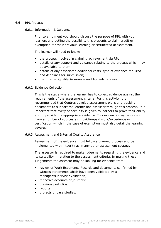#### 6.6 RPL Process

#### 6.6.1 Information & Guidance

Prior to enrolment you should discuss the purpose of RPL with your learners and outline the possibility this presents to claim credit or exemption for their previous learning or certificated achievement.

The learner will need to know:

- the process involved in claiming achievement via RPL;
- details of any support and guidance relating to the process which may be available to them;
- details of any associated additional costs, type of evidence required and deadlines for submission;
- the Internal Quality Assurance and Appeals process.

#### 6.6.2 Evidence Collection

This is the stage where the learner has to collect evidence against the requirements of the assessment criteria. For this activity it is recommended that Centres develop assessment plans and tracking documents to support the learner and assessor through this process. It is important that every opportunity is given to learners to prove their ability and to provide the appropriate evidence. This evidence may be drawn from a number of sources e.g., paid/unpaid work/experience or certification which in the case of exemption must also detail the learning covered.

#### 6.6.3 Assessment and Internal Quality Assurance

Assessment of the evidence must follow a planned process and be implemented with integrity as in any other assessment strategy.

The assessor is required to make judgements regarding the evidence and its suitability in relation to the assessment criteria. In making these judgements the assessor may be looking for evidence from:

- review of Work Experience Records and documents confirmed by witness statements which have been validated by a manager/supervisor validation;
- reflective accounts or journals;
- previous portfolios;
- reports;
- projects or case studies.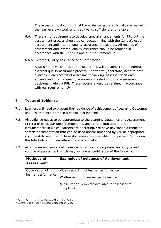The assessor must confirm that the evidence gathered is validated as being the learner's own work and is still valid, sufficient, and reliable.

- 6.6.4 There is no requirement to develop special arrangements for RPL but the assessment process should be conducted in line with the Centre's usual assessment and internal quality assurance procedures. All records of assessment and internal quality assurance should be retained in accordance with the Centre's and our requirements.<sup>11</sup>
- 6.6.5 External Quality Assurance and Certification

Assessments which include the use of RPL will be subject to the normal external quality assurance process. Centres will, therefore, need to have available clear records of assessment tracking, assessor decisions, appeals and internal quality assurance in relation to the assessment decisions made via RPL. These records should be retainedin accordance with our requirements<sup>12</sup>.

# **7 Types of Evidence**

- 7.1 Learners will need to present their evidence of achievement of Learning Outcomes and Assessment Criteria in a portfolio of evidence.
- 7.2 All evidence needs to be appropriate to the Learning Outcomes and Assessment Criteria of particular units/components, and to take into account the circumstances in which learners are operating. We have developed a range of sample documentation that can be used and/or amended by you as appropriate if you wish to use them. These documents are available to approved Centres on the Info Hub on our website and are listed below.
- 7.3 As an assessor, you should consider what is an appropriate range, type and volume of assessment which may include a combination of the following.

| <b>Methods of</b><br><b>Assessment</b> | <b>Examples of evidence of Achievement</b>                                                                                                      |
|----------------------------------------|-------------------------------------------------------------------------------------------------------------------------------------------------|
| Observation of<br>learner performance  | Video recording of learner performance<br>Written record of learner performance<br>(Observation Template available for assessor to<br>complete) |

<sup>&</sup>lt;sup>11</sup> Centre Record Keeping; External Moderation Policy

<sup>&</sup>lt;sup>12</sup> Centre Record Keeping; External Moderation Policy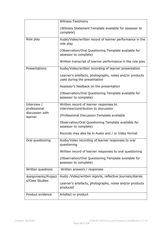|                                                           | <b>Witness Testimony</b>                                                                |
|-----------------------------------------------------------|-----------------------------------------------------------------------------------------|
|                                                           | (Witness Statement Template available for assessor to<br>complete)                      |
| Role play                                                 | Audio/Video/written record of learner performance in the<br>role play                   |
|                                                           | (Observation/Oral Questioning Template available for<br>assessor to complete)           |
|                                                           | Written transcript of learner performance in the role play                              |
| Presentations                                             | Audio/Video/written recording of learner presentation                                   |
|                                                           | Learner's artefacts, photographs, notes and/or products<br>used during the presentation |
|                                                           | Assessor's feedback on the presentation                                                 |
|                                                           | (Observation/Oral Questioning Template available for<br>assessor to complete)           |
| Interview /<br>professional<br>discussion with<br>learner | Written record of learner responses to<br>interview/contribution to discussion          |
|                                                           | (Professional Discussion Template available                                             |
|                                                           | Observation/Oral Questioning Template available for<br>assessor to complete)            |
|                                                           | Records may also be in Audio and / or Video format                                      |
| Oral questioning                                          | Audio/Video recording of learner responses to oral<br>questioning                       |
|                                                           | Written record of learner responses to oral questioning                                 |
|                                                           | (Observation/Oral Questioning Template available for<br>assessor to complete)           |
| Written questions                                         | Written answers / responses                                                             |
| Assignments/Project<br>s/Case Studies                     | Audio /Video/written reports, reflective journals/diaries                               |
|                                                           | Learner's artefacts, photographs, notes and/or products<br>produced                     |
| Product evidence                                          | Artefact or product                                                                     |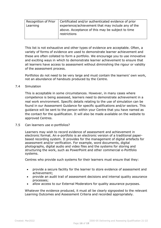| Recognition of Prior | Certificated and/or authenticated evidence of prior |
|----------------------|-----------------------------------------------------|
| Learning             | experience/achievement that may include any of the  |
|                      | above. Acceptance of this may be subject to time    |
|                      | restrictions                                        |
|                      |                                                     |

This list is not exhaustive and other types of evidence are acceptable. Often, a variety of forms of evidence are used to demonstrate learner achievement and these are often collated to form a portfolio. We encourage you to use innovative and exciting ways in which to demonstrate learner achievement to ensure that all learners have access to assessment without diminishing the rigour or validity of the assessment process.

Portfolios do not need to be very large and must contain the learners' own work, not an abundance of handouts produced by the Centre.

#### 7.4 Simulation

This is acceptable in some circumstances. However, in many cases where competence is being assessed, learners need to demonstrate achievement in a real work environment. Specific details relating to the use of simulation can be found in our Assessment Guidance for specific qualifications and/or sectors. This guidance will be sent to the person within your Centre that you have named as the contact for the qualification. It will also be made available on the website to approved Centres.

#### 7.5 Can learners use e-portfolios?

Learners may wish to record evidence of assessment and achievement in electronic format. An e-portfolio is an electronic version of a traditional paperbased recording system. It provides for the management of digital artefacts for assessment and/or verification. For example, word documents, digital photographs, digital audio and video files and the systems for storing and structuring the work, such as PowerPoint and other commercial e-Portfolio systems.

Centres who provide such systems for their learners must ensure that they:

- provide a secure facility for the learner to store evidence of assessment and achievement;
- provide an audit trail of assessment decisions and internal quality assurance processes;
- allow access to our External Moderators for quality assurance purposes.

Whatever the evidence produced, it must all be clearly signposted to the relevant Learning Outcomes and Assessment Criteria and recorded appropriately.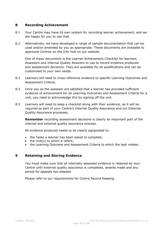## **8 Recording Achievement**

- 8.1 Your Centre may have its own system for recording learner achievement, and we are happy for you to use that.
- 8.2 Alternatively, we have developed a range of sample documentation that can be used and/or amended by you as appropriate. These documents are available to approved Centres on the Info Hub on our website.

One of these documents is the Learner Achievement Checklist for learners, Assessors and Internal Quality Assurers to use to record evidence produced and assessment decisions. They are available for all qualifications and can be customised to your own needs.

- 8.3 Learners will need to cross reference evidence to specific Learning Outcomes and Assessment Criteria.
- 8.4 Once you as the assessor are satisfied that a learner has provided sufficient evidence of achievement for all Learning Outcomes and Assessment Criteria for a unit, you need to acknowledge this by signing off the unit.
- 8.5 Learners will need to keep a checklist along with their evidence, as it will be required as part of your Centre's Internal Quality Assurance and our External Quality Assurance processes.

**Remember** recording assessment decisions is clearly an important part of the internal and external quality assurance process.

All evidence produced needs to be clearly signposted to:

- the Tasks a learner has been asked to complete;
- the Unit(s) to which it refers;
- the Learning Outcome and Assessment Criteria to which the task relates.

## **9 Retaining and Storing Evidence**

You must make sure that all internally assessed evidence is retained by your Centre until external quality assurance is completed, awards made and any period for appeals has elapsed.

Please refer to our requirements for Centre Record Keeping.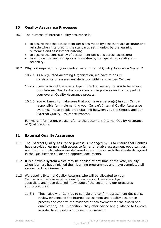## **10 Quality Assurance Processes**

- 10.1 The purpose of internal quality assurance is:
	- to assure that the assessment decisions made by assessors are accurate and reliable when interpreting the standards set in unit/s by the learning outcomes and assessment criteria;
	- to assure the consistency of assessment decisions across assessors;
	- to address the key principles of consistency, transparency, validity and reliability.
- 10.2 Why is it required that your Centre has an Internal Quality Assurance System?
	- 10.2.1 As a regulated Awarding Organisation, we have to ensure consistency of assessment decisions within and across Centres.
	- 10.2.2 Irrespective of the size or type of Centre, we require you to have your own Internal Quality Assurance system in place as an integral part of your overall Quality Assurance process.
	- 10.2.3 You will need to make sure that you have a person(s) in your Centre responsible for implementing your Centre's Internal Quality Assurance systems. These people area vital link between you the Centre, and our External Quality Assurance Process.

For more information, please refer to the document Internal Quality Assurance of Qualifications.

## **11 External Quality Assurance**

- 11.1 The External Quality Assurance process is managed by us to ensure that Centres have provided learners with access to fair and reliable assessment opportunities, and that our qualifications are delivered in accordance with the standards agreed in the Qualification Guide and approval documents.
- 11.2 It is a flexible system which may be applied at any time of the year, usually when learners have finished their learning programmes and have completed all assessment requirements.
- 11.3 We appoint External Quality Assurers who will be allocated to your Centre to undertake external quality assurance. They are subject specialists and have detailed knowledge of the sector and our processes and procedures.
	- 11.3.1 They liaise with Centres to sample and confirm assessment decisions, review evidence of the internal assessment and quality assurance process and confirm the evidence of achievement for the award of a qualification/unit. In addition, they offer advice and guidance to Centres in order to support continuous improvement.